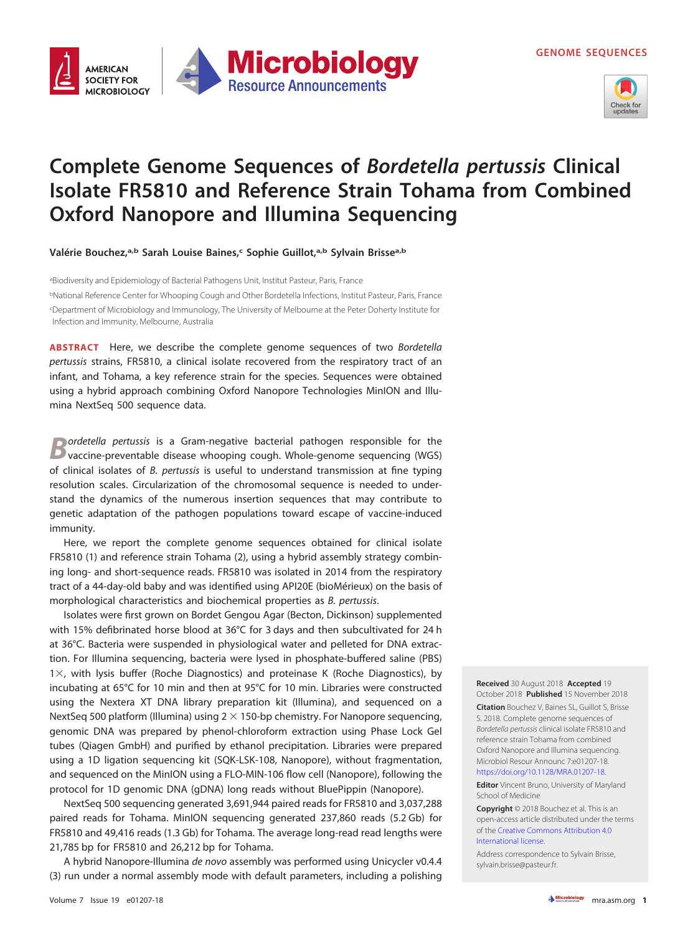



# **Complete Genome Sequences of Bordetella pertussis Clinical Isolate FR5810 and Reference Strain Tohama from Combined Oxford Nanopore and Illumina Sequencing**

**Valérie Bouchez,a,b Sarah Louise Baines,c Sophie Guillot,a,b Sylvain Brissea,b**

aBiodiversity and Epidemiology of Bacterial Pathogens Unit, Institut Pasteur, Paris, France <sup>b</sup>National Reference Center for Whooping Cough and Other Bordetella Infections, Institut Pasteur, Paris, France c Department of Microbiology and Immunology, The University of Melbourne at the Peter Doherty Institute for Infection and Immunity, Melbourne, Australia

**ABSTRACT** Here, we describe the complete genome sequences of two Bordetella pertussis strains, FR5810, a clinical isolate recovered from the respiratory tract of an infant, and Tohama, a key reference strain for the species. Sequences were obtained using a hybrid approach combining Oxford Nanopore Technologies MinION and Illumina NextSeq 500 sequence data.

**Bordetella pertussis is a Gram-negative bacterial pathogen responsible for the vaccine-preventable disease whooping cough. Whole-genome sequencing (WGS)** of clinical isolates of B. pertussis is useful to understand transmission at fine typing resolution scales. Circularization of the chromosomal sequence is needed to understand the dynamics of the numerous insertion sequences that may contribute to genetic adaptation of the pathogen populations toward escape of vaccine-induced immunity.

Here, we report the complete genome sequences obtained for clinical isolate FR5810 [\(1\)](#page-1-0) and reference strain Tohama [\(2\)](#page-1-1), using a hybrid assembly strategy combining long- and short-sequence reads. FR5810 was isolated in 2014 from the respiratory tract of a 44-day-old baby and was identified using API20E (bioMérieux) on the basis of morphological characteristics and biochemical properties as B. pertussis.

Isolates were first grown on Bordet Gengou Agar (Becton, Dickinson) supplemented with 15% defibrinated horse blood at 36°C for 3 days and then subcultivated for 24 h at 36°C. Bacteria were suspended in physiological water and pelleted for DNA extraction. For Illumina sequencing, bacteria were lysed in phosphate-buffered saline (PBS) 1×, with lysis buffer (Roche Diagnostics) and proteinase K (Roche Diagnostics), by incubating at 65°C for 10 min and then at 95°C for 10 min. Libraries were constructed using the Nextera XT DNA library preparation kit (Illumina), and sequenced on a NextSeq 500 platform (Illumina) using  $2 \times 150$ -bp chemistry. For Nanopore sequencing, genomic DNA was prepared by phenol-chloroform extraction using Phase Lock Gel tubes (Qiagen GmbH) and purified by ethanol precipitation. Libraries were prepared using a 1D ligation sequencing kit (SQK-LSK-108, Nanopore), without fragmentation, and sequenced on the MinION using a FLO-MIN-106 flow cell (Nanopore), following the protocol for 1D genomic DNA (gDNA) long reads without BluePippin (Nanopore).

NextSeq 500 sequencing generated 3,691,944 paired reads for FR5810 and 3,037,288 paired reads for Tohama. MinION sequencing generated 237,860 reads (5.2 Gb) for FR5810 and 49,416 reads (1.3 Gb) for Tohama. The average long-read read lengths were 21,785 bp for FR5810 and 26,212 bp for Tohama.

A hybrid Nanopore-Illumina de novo assembly was performed using Unicycler v0.4.4 [\(3\)](#page-1-2) run under a normal assembly mode with default parameters, including a polishing **Received** 30 August 2018 **Accepted** 19 October 2018 **Published** 15 November 2018

**Citation** Bouchez V, Baines SL, Guillot S, Brisse S. 2018. Complete genome sequences of Bordetella pertussis clinical isolate FR5810 and reference strain Tohama from combined Oxford Nanopore and Illumina sequencing. Microbiol Resour Announc 7:e01207-18. [https://doi.org/10.1128/MRA.01207-18.](https://doi.org/10.1128/MRA.01207-18)

**Editor** Vincent Bruno, University of Maryland School of Medicine

**Copyright** © 2018 Bouchez et al. This is an open-access article distributed under the terms of the [Creative Commons Attribution 4.0](https://creativecommons.org/licenses/by/4.0/) [International license.](https://creativecommons.org/licenses/by/4.0/)

Address correspondence to Sylvain Brisse, [sylvain.brisse@pasteur.fr.](mailto:sylvain.brisse@pasteur.fr)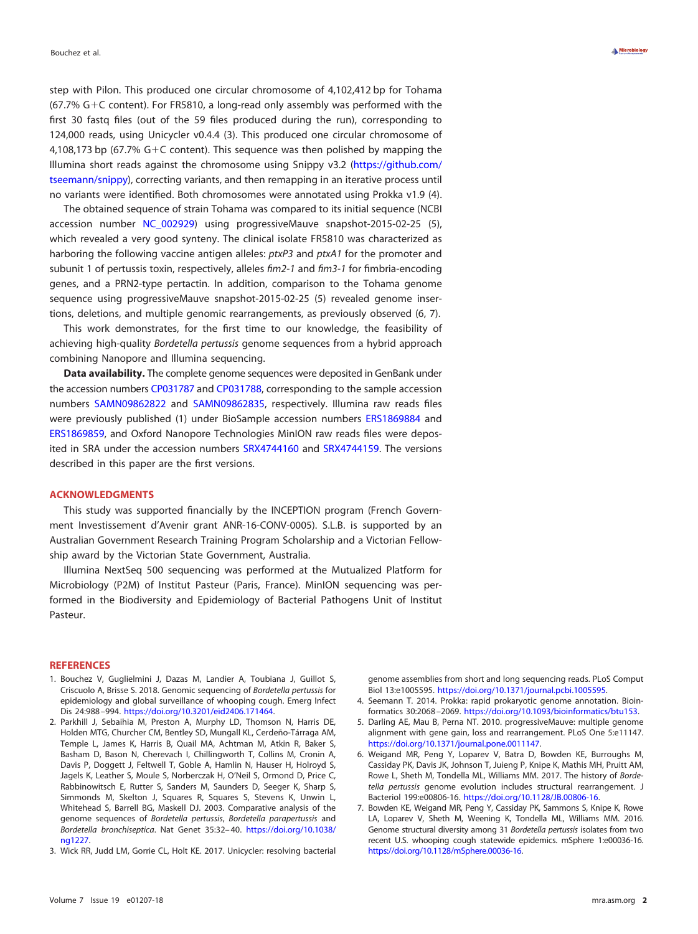step with Pilon. This produced one circular chromosome of 4,102,412 bp for Tohama  $(67.7% G + C$  content). For FR5810, a long-read only assembly was performed with the first 30 fastq files (out of the 59 files produced during the run), corresponding to 124,000 reads, using Unicycler v0.4.4 [\(3\)](#page-1-2). This produced one circular chromosome of 4,108,173 bp (67.7%  $G+C$  content). This sequence was then polished by mapping the Illumina short reads against the chromosome using Snippy v3.2 [\(https://github.com/](https://github.com/tseemann/snippy) [tseemann/snippy\)](https://github.com/tseemann/snippy), correcting variants, and then remapping in an iterative process until no variants were identified. Both chromosomes were annotated using Prokka v1.9 [\(4\)](#page-1-3).

The obtained sequence of strain Tohama was compared to its initial sequence (NCBI accession number [NC\\_002929\)](https://www.ncbi.nlm.nih.gov/nuccore/NC_002929) using progressiveMauve snapshot-2015-02-25 [\(5\)](#page-1-4), which revealed a very good synteny. The clinical isolate FR5810 was characterized as harboring the following vaccine antigen alleles:  $ptxP3$  and  $ptxA1$  for the promoter and subunit 1 of pertussis toxin, respectively, alleles fim2-1 and fim3-1 for fimbria-encoding genes, and a PRN2-type pertactin. In addition, comparison to the Tohama genome sequence using progressiveMauve snapshot-2015-02-25 [\(5\)](#page-1-4) revealed genome insertions, deletions, and multiple genomic rearrangements, as previously observed [\(6,](#page-1-5) [7\)](#page-1-6).

This work demonstrates, for the first time to our knowledge, the feasibility of achieving high-quality Bordetella pertussis genome sequences from a hybrid approach combining Nanopore and Illumina sequencing.

**Data availability.** The complete genome sequences were deposited in GenBank under the accession numbers [CP031787](https://www.ncbi.nlm.nih.gov/nuccore/CP031787) and [CP031788,](https://www.ncbi.nlm.nih.gov/nuccore/CP031788) corresponding to the sample accession numbers [SAMN09862822](https://www.ncbi.nlm.nih.gov/biosample/SAMN09862822) and [SAMN09862835,](https://www.ncbi.nlm.nih.gov/biosample/SAMN09862835) respectively. Illumina raw reads files were previously published [\(1\)](#page-1-0) under BioSample accession numbers [ERS1869884](https://www.ncbi.nlm.nih.gov/biosample/ERS1869884) and [ERS1869859,](https://www.ncbi.nlm.nih.gov/biosample/ERS1869859) and Oxford Nanopore Technologies MinION raw reads files were deposited in SRA under the accession numbers [SRX4744160](https://www.ncbi.nlm.nih.gov/sra/SRX4744160) and [SRX4744159.](https://www.ncbi.nlm.nih.gov/sra/SRX4744159) The versions described in this paper are the first versions.

### **ACKNOWLEDGMENTS**

This study was supported financially by the INCEPTION program (French Government Investissement d'Avenir grant ANR-16-CONV-0005). S.L.B. is supported by an Australian Government Research Training Program Scholarship and a Victorian Fellowship award by the Victorian State Government, Australia.

Illumina NextSeq 500 sequencing was performed at the Mutualized Platform for Microbiology (P2M) of Institut Pasteur (Paris, France). MinION sequencing was performed in the Biodiversity and Epidemiology of Bacterial Pathogens Unit of Institut Pasteur.

#### <span id="page-1-0"></span>**REFERENCES**

- 1. Bouchez V, Guglielmini J, Dazas M, Landier A, Toubiana J, Guillot S, Criscuolo A, Brisse S. 2018. Genomic sequencing of Bordetella pertussis for epidemiology and global surveillance of whooping cough. Emerg Infect Dis 24:988 –994. [https://doi.org/10.3201/eid2406.171464.](https://doi.org/10.3201/eid2406.171464)
- <span id="page-1-1"></span>2. Parkhill J, Sebaihia M, Preston A, Murphy LD, Thomson N, Harris DE, Holden MTG, Churcher CM, Bentley SD, Mungall KL, Cerdeño-Tárraga AM, Temple L, James K, Harris B, Quail MA, Achtman M, Atkin R, Baker S, Basham D, Bason N, Cherevach I, Chillingworth T, Collins M, Cronin A, Davis P, Doggett J, Feltwell T, Goble A, Hamlin N, Hauser H, Holroyd S, Jagels K, Leather S, Moule S, Norberczak H, O'Neil S, Ormond D, Price C, Rabbinowitsch E, Rutter S, Sanders M, Saunders D, Seeger K, Sharp S, Simmonds M, Skelton J, Squares R, Squares S, Stevens K, Unwin L, Whitehead S, Barrell BG, Maskell DJ. 2003. Comparative analysis of the genome sequences of Bordetella pertussis, Bordetella parapertussis and Bordetella bronchiseptica. Nat Genet 35:32– 40. [https://doi.org/10.1038/](https://doi.org/10.1038/ng1227) [ng1227.](https://doi.org/10.1038/ng1227)
- <span id="page-1-2"></span>3. Wick RR, Judd LM, Gorrie CL, Holt KE. 2017. Unicycler: resolving bacterial

genome assemblies from short and long sequencing reads. PLoS Comput Biol 13:e1005595. [https://doi.org/10.1371/journal.pcbi.1005595.](https://doi.org/10.1371/journal.pcbi.1005595)

- <span id="page-1-4"></span><span id="page-1-3"></span>4. Seemann T. 2014. Prokka: rapid prokaryotic genome annotation. Bioinformatics 30:2068 –2069. [https://doi.org/10.1093/bioinformatics/btu153.](https://doi.org/10.1093/bioinformatics/btu153)
- <span id="page-1-5"></span>5. Darling AE, Mau B, Perna NT. 2010. progressiveMauve: multiple genome alignment with gene gain, loss and rearrangement. PLoS One 5:e11147. [https://doi.org/10.1371/journal.pone.0011147.](https://doi.org/10.1371/journal.pone.0011147)
- 6. Weigand MR, Peng Y, Loparev V, Batra D, Bowden KE, Burroughs M, Cassiday PK, Davis JK, Johnson T, Juieng P, Knipe K, Mathis MH, Pruitt AM, Rowe L, Sheth M, Tondella ML, Williams MM. 2017. The history of Bordetella pertussis genome evolution includes structural rearrangement. J Bacteriol 199:e00806-16. [https://doi.org/10.1128/JB.00806-16.](https://doi.org/10.1128/JB.00806-16)
- <span id="page-1-6"></span>7. Bowden KE, Weigand MR, Peng Y, Cassiday PK, Sammons S, Knipe K, Rowe LA, Loparev V, Sheth M, Weening K, Tondella ML, Williams MM. 2016. Genome structural diversity among 31 Bordetella pertussis isolates from two recent U.S. whooping cough statewide epidemics. mSphere 1:e00036-16. [https://doi.org/10.1128/mSphere.00036-16.](https://doi.org/10.1128/mSphere.00036-16)